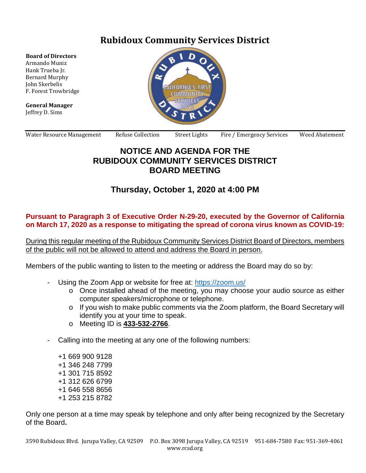# **Rubidoux Community Services District**

**Board of Directors**

Armando Muniz Hank Trueba Jr. Bernard Murphy John Skerbelis F. Forest Trowbridge

**General Manager** Jeffrey D. Sims



Water Resource Management Refuse Collection Street Lights Fire / Emergency Services Weed Abatement

### **NOTICE AND AGENDA FOR THE RUBIDOUX COMMUNITY SERVICES DISTRICT BOARD MEETING**

## **Thursday, October 1, 2020 at 4:00 PM**

#### **Pursuant to Paragraph 3 of Executive Order N-29-20, executed by the Governor of California on March 17, 2020 as a response to mitigating the spread of corona virus known as COVID-19:**

During this regular meeting of the Rubidoux Community Services District Board of Directors, members of the public will not be allowed to attend and address the Board in person.

Members of the public wanting to listen to the meeting or address the Board may do so by:

- Using the Zoom App or website for free at:<https://zoom.us/>
	- o Once installed ahead of the meeting, you may choose your audio source as either computer speakers/microphone or telephone.
	- o If you wish to make public comments via the Zoom platform, the Board Secretary will identify you at your time to speak.
	- o Meeting ID is **433-532-2766**.
- Calling into the meeting at any one of the following numbers:
	- +1 669 900 9128 +1 346 248 7799 +1 301 715 8592 +1 312 626 6799 +1 646 558 8656 +1 253 215 8782

Only one person at a time may speak by telephone and only after being recognized by the Secretary of the Board**.**